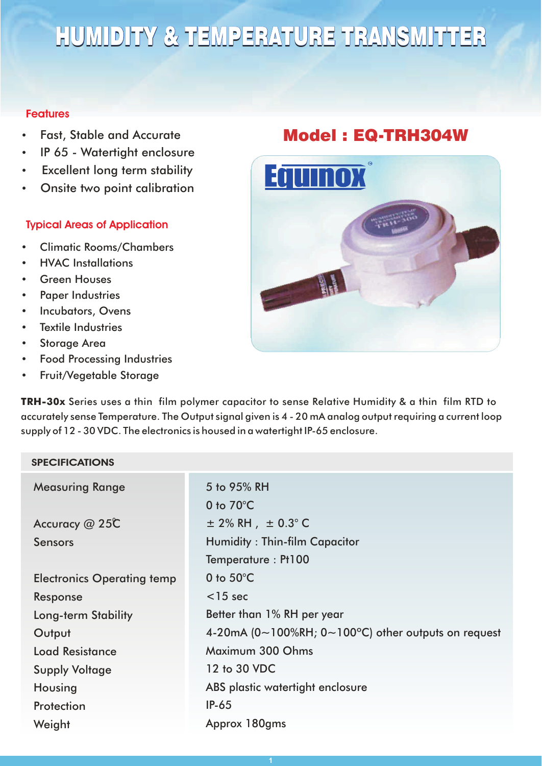# HUMIDITY & TEMPERATURE TRANSMITTER

#### **Features**

- Fast, Stable and Accurate
- IP 65 Watertight enclosure
- Excellent long term stability
- Onsite two point calibration

## **Typical Areas of Application**

- Climatic Rooms/Chambers
- HVAC Installations
- **Green Houses**
- Paper Industries
- Incubators, Ovens
- Textile Industries
- Storage Area
- Food Processing Industries
- Fruit/Vegetable Storage

# Model : EQ-TRH304W



**TRH-30x** Series uses a thin film polymer capacitor to sense Relative Humidity & a thin film RTD to accurately sense Temperature. The Output signal given is 4 - 20 mA analog output requiring a current loop supply of 12 - 30 VDC. The electronics is housed in a watertight IP-65 enclosure.

### **SPECIFICATIONS**

| <b>Measuring Range</b>            | 5 to 95% RH                                                                 |  |
|-----------------------------------|-----------------------------------------------------------------------------|--|
|                                   | 0 to $70^{\circ}$ C                                                         |  |
| Accuracy @ 25C                    | $\pm$ 2% RH $, \pm$ 0.3° C                                                  |  |
| <b>Sensors</b>                    | <b>Humidity: Thin-film Capacitor</b>                                        |  |
|                                   | Temperature: Pt100                                                          |  |
| <b>Electronics Operating temp</b> | 0 to $50^{\circ}$ C                                                         |  |
| Response                          | $<$ 15 sec                                                                  |  |
| <b>Long-term Stability</b>        | Better than 1% RH per year                                                  |  |
| Output                            | 4-20mA ( $0 \sim 100\%$ RH; $0 \sim 100\degree$ C) other outputs on request |  |
| <b>Load Resistance</b>            | Maximum 300 Ohms                                                            |  |
| <b>Supply Voltage</b>             | 12 to 30 VDC                                                                |  |
| Housing                           | ABS plastic watertight enclosure                                            |  |
| Protection                        | $IP-65$                                                                     |  |
| Weight                            | Approx 180gms                                                               |  |